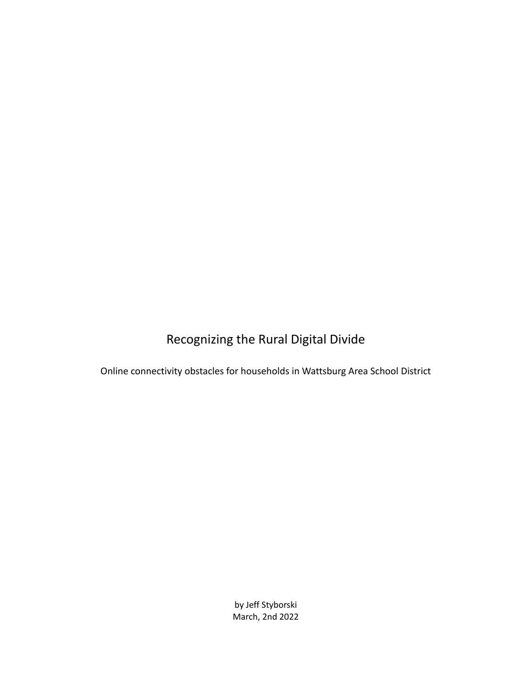# Recognizing the Rural Digital Divide

Online connectivity obstacles for households in Wattsburg Area School District

by Jeff Styborski March, 2nd 2022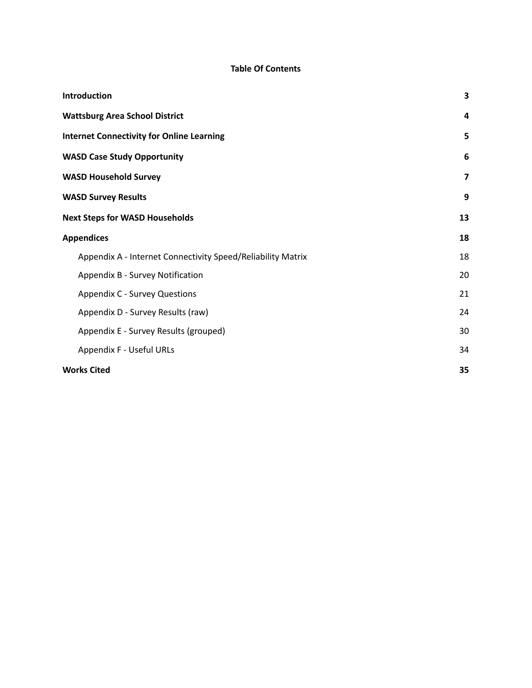### **Table Of Contents**

| Introduction                                                | 3                       |
|-------------------------------------------------------------|-------------------------|
| <b>Wattsburg Area School District</b>                       | 4                       |
| <b>Internet Connectivity for Online Learning</b>            | 5                       |
| <b>WASD Case Study Opportunity</b>                          | 6                       |
| <b>WASD Household Survey</b>                                | $\overline{\mathbf{z}}$ |
| <b>WASD Survey Results</b>                                  | 9                       |
| <b>Next Steps for WASD Households</b>                       | 13                      |
| <b>Appendices</b>                                           | 18                      |
| Appendix A - Internet Connectivity Speed/Reliability Matrix | 18                      |
| Appendix B - Survey Notification                            | 20                      |
| <b>Appendix C - Survey Questions</b>                        | 21                      |
| Appendix D - Survey Results (raw)                           | 24                      |
| Appendix E - Survey Results (grouped)                       | 30                      |
| Appendix F - Useful URLs                                    | 34                      |
| <b>Works Cited</b>                                          | 35                      |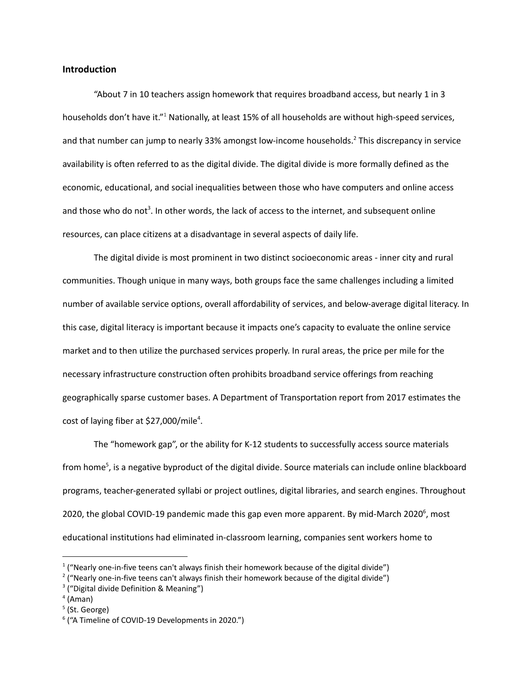### <span id="page-2-0"></span>**Introduction**

"About 7 in 10 teachers assign homework that requires broadband access, but nearly 1 in 3 households don't have it."<sup>1</sup> Nationally, at least 15% of all households are without high-speed services, and that number can jump to nearly 33% amongst low-income households. <sup>2</sup> This discrepancy in service availability is often referred to as the digital divide. The digital divide is more formally defined as the economic, educational, and social inequalities between those who have computers and online access and those who do not<sup>3</sup>. In other words, the lack of access to the internet, and subsequent online resources, can place citizens at a disadvantage in several aspects of daily life.

The digital divide is most prominent in two distinct socioeconomic areas - inner city and rural communities. Though unique in many ways, both groups face the same challenges including a limited number of available service options, overall affordability of services, and below-average digital literacy. In this case, digital literacy is important because it impacts one's capacity to evaluate the online service market and to then utilize the purchased services properly. In rural areas, the price per mile for the necessary infrastructure construction often prohibits broadband service offerings from reaching geographically sparse customer bases. A Department of Transportation report from 2017 estimates the cost of laying fiber at \$27,000/mile<sup>4</sup>.

The "homework gap", or the ability for K-12 students to successfully access source materials from home 5 , is a negative byproduct of the digital divide. Source materials can include online blackboard programs, teacher-generated syllabi or project outlines, digital libraries, and search engines. Throughout 2020, the global COVID-19 pandemic made this gap even more apparent. By mid-March 2020<sup>6</sup>, most educational institutions had eliminated in-classroom learning, companies sent workers home to

 $1$  ("Nearly one-in-five teens can't always finish their homework because of the digital divide")

 $2$  ("Nearly one-in-five teens can't always finish their homework because of the digital divide")

<sup>&</sup>lt;sup>3</sup> ("Digital divide Definition & Meaning")

<sup>4</sup> (Aman)

<sup>&</sup>lt;sup>5</sup> (St. George)

<sup>6</sup> ("A Timeline of COVID-19 Developments in 2020.")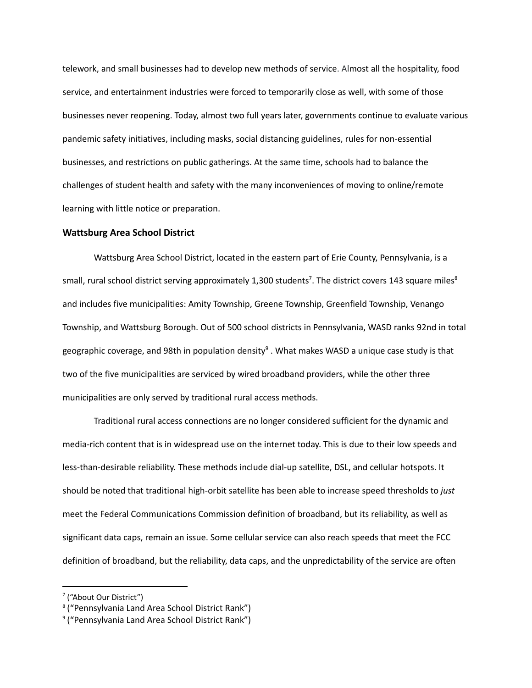telework, and small businesses had to develop new methods of service. Almost all the hospitality, food service, and entertainment industries were forced to temporarily close as well, with some of those businesses never reopening. Today, almost two full years later, governments continue to evaluate various pandemic safety initiatives, including masks, social distancing guidelines, rules for non-essential businesses, and restrictions on public gatherings. At the same time, schools had to balance the challenges of student health and safety with the many inconveniences of moving to online/remote learning with little notice or preparation.

### <span id="page-3-0"></span>**Wattsburg Area School District**

Wattsburg Area School District, located in the eastern part of Erie County, Pennsylvania, is a small, rural school district serving approximately 1,300 students<sup>7</sup>. The district covers 143 square miles<sup>8</sup> and includes five municipalities: Amity Township, Greene Township, Greenfield Township, Venango Township, and Wattsburg Borough. Out of 500 school districts in Pennsylvania, WASD ranks 92nd in total geographic coverage, and 98th in population density<sup>9</sup> . What makes WASD a unique case study is that two of the five municipalities are serviced by wired broadband providers, while the other three municipalities are only served by traditional rural access methods.

Traditional rural access connections are no longer considered sufficient for the dynamic and media-rich content that is in widespread use on the internet today. This is due to their low speeds and less-than-desirable reliability. These methods include dial-up satellite, DSL, and cellular hotspots. It should be noted that traditional high-orbit satellite has been able to increase speed thresholds to *just* meet the Federal Communications Commission definition of broadband, but its reliability, as well as significant data caps, remain an issue. Some cellular service can also reach speeds that meet the FCC definition of broadband, but the reliability, data caps, and the unpredictability of the service are often

<sup>&</sup>lt;sup>7</sup> ("About Our District")

<sup>8</sup> ("Pennsylvania Land Area School District Rank")

<sup>&</sup>lt;sup>9</sup> ("Pennsylvania Land Area School District Rank")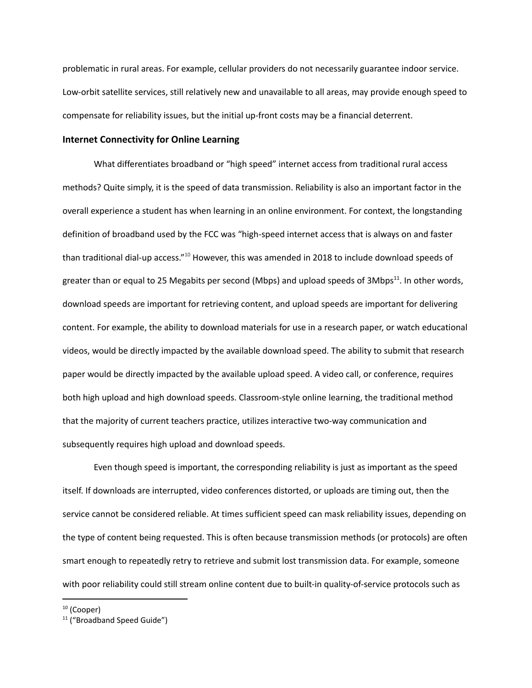problematic in rural areas. For example, cellular providers do not necessarily guarantee indoor service. Low-orbit satellite services, still relatively new and unavailable to all areas, may provide enough speed to compensate for reliability issues, but the initial up-front costs may be a financial deterrent.

### <span id="page-4-0"></span>**Internet Connectivity for Online Learning**

What differentiates broadband or "high speed" internet access from traditional rural access methods? Quite simply, it is the speed of data transmission. Reliability is also an important factor in the overall experience a student has when learning in an online environment. For context, the longstanding definition of broadband used by the FCC was "high-speed internet access that is always on and faster than traditional dial-up access."<sup>10</sup> However, this was amended in 2018 to include download speeds of greater than or equal to 25 Megabits per second (Mbps) and upload speeds of 3Mbps<sup>11</sup>. In other words, download speeds are important for retrieving content, and upload speeds are important for delivering content. For example, the ability to download materials for use in a research paper, or watch educational videos, would be directly impacted by the available download speed. The ability to submit that research paper would be directly impacted by the available upload speed. A video call, or conference, requires both high upload and high download speeds. Classroom-style online learning, the traditional method that the majority of current teachers practice, utilizes interactive two-way communication and subsequently requires high upload and download speeds.

Even though speed is important, the corresponding reliability is just as important as the speed itself. If downloads are interrupted, video conferences distorted, or uploads are timing out, then the service cannot be considered reliable. At times sufficient speed can mask reliability issues, depending on the type of content being requested. This is often because transmission methods (or protocols) are often smart enough to repeatedly retry to retrieve and submit lost transmission data. For example, someone with poor reliability could still stream online content due to built-in quality-of-service protocols such as

 $10$  (Cooper)

<sup>&</sup>lt;sup>11</sup> ("Broadband Speed Guide")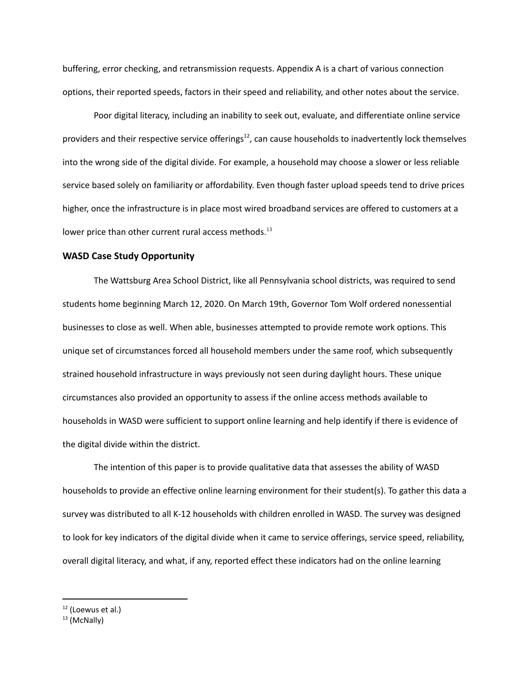buffering, error checking, and retransmission requests. Appendix A is a chart of various connection options, their reported speeds, factors in their speed and reliability, and other notes about the service.

Poor digital literacy, including an inability to seek out, evaluate, and differentiate online service providers and their respective service offerings<sup>12</sup>, can cause households to inadvertently lock themselves into the wrong side of the digital divide. For example, a household may choose a slower or less reliable service based solely on familiarity or affordability. Even though faster upload speeds tend to drive prices higher, once the infrastructure is in place most wired broadband services are offered to customers at a lower price than other current rural access methods.<sup>13</sup>

### <span id="page-5-0"></span>**WASD Case Study Opportunity**

The Wattsburg Area School District, like all Pennsylvania school districts, was required to send students home beginning March 12, 2020. On March 19th, Governor Tom Wolf ordered nonessential businesses to close as well. When able, businesses attempted to provide remote work options. This unique set of circumstances forced all household members under the same roof, which subsequently strained household infrastructure in ways previously not seen during daylight hours. These unique circumstances also provided an opportunity to assess if the online access methods available to households in WASD were sufficient to support online learning and help identify if there is evidence of the digital divide within the district.

The intention of this paper is to provide qualitative data that assesses the ability of WASD households to provide an effective online learning environment for their student(s). To gather this data a survey was distributed to all K-12 households with children enrolled in WASD. The survey was designed to look for key indicators of the digital divide when it came to service offerings, service speed, reliability, overall digital literacy, and what, if any, reported effect these indicators had on the online learning

<sup>&</sup>lt;sup>12</sup> (Loewus et al.)

<sup>13</sup> (McNally)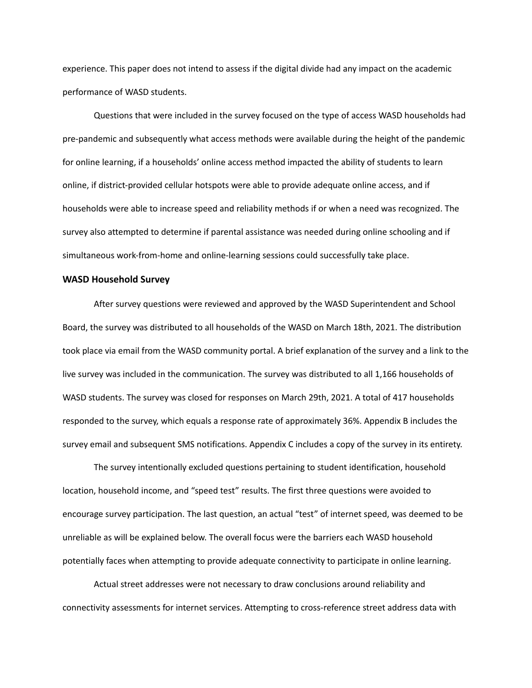experience. This paper does not intend to assess if the digital divide had any impact on the academic performance of WASD students.

Questions that were included in the survey focused on the type of access WASD households had pre-pandemic and subsequently what access methods were available during the height of the pandemic for online learning, if a households' online access method impacted the ability of students to learn online, if district-provided cellular hotspots were able to provide adequate online access, and if households were able to increase speed and reliability methods if or when a need was recognized. The survey also attempted to determine if parental assistance was needed during online schooling and if simultaneous work-from-home and online-learning sessions could successfully take place.

### <span id="page-6-0"></span>**WASD Household Survey**

After survey questions were reviewed and approved by the WASD Superintendent and School Board, the survey was distributed to all households of the WASD on March 18th, 2021. The distribution took place via email from the WASD community portal. A brief explanation of the survey and a link to the live survey was included in the communication. The survey was distributed to all 1,166 households of WASD students. The survey was closed for responses on March 29th, 2021. A total of 417 households responded to the survey, which equals a response rate of approximately 36%. Appendix B includes the survey email and subsequent SMS notifications. Appendix C includes a copy of the survey in its entirety.

The survey intentionally excluded questions pertaining to student identification, household location, household income, and "speed test" results. The first three questions were avoided to encourage survey participation. The last question, an actual "test" of internet speed, was deemed to be unreliable as will be explained below. The overall focus were the barriers each WASD household potentially faces when attempting to provide adequate connectivity to participate in online learning.

Actual street addresses were not necessary to draw conclusions around reliability and connectivity assessments for internet services. Attempting to cross-reference street address data with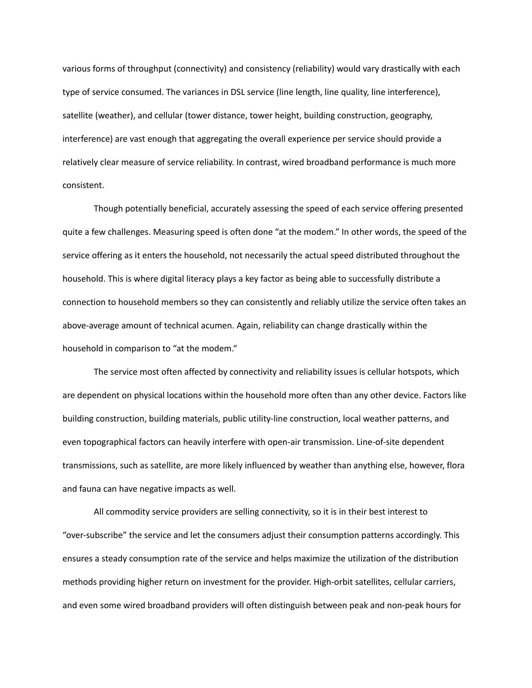various forms of throughput (connectivity) and consistency (reliability) would vary drastically with each type of service consumed. The variances in DSL service (line length, line quality, line interference), satellite (weather), and cellular (tower distance, tower height, building construction, geography, interference) are vast enough that aggregating the overall experience per service should provide a relatively clear measure of service reliability. In contrast, wired broadband performance is much more consistent.

Though potentially beneficial, accurately assessing the speed of each service offering presented quite a few challenges. Measuring speed is often done "at the modem." In other words, the speed of the service offering as it enters the household, not necessarily the actual speed distributed throughout the household. This is where digital literacy plays a key factor as being able to successfully distribute a connection to household members so they can consistently and reliably utilize the service often takes an above-average amount of technical acumen. Again, reliability can change drastically within the household in comparison to "at the modem."

The service most often affected by connectivity and reliability issues is cellular hotspots, which are dependent on physical locations within the household more often than any other device. Factors like building construction, building materials, public utility-line construction, local weather patterns, and even topographical factors can heavily interfere with open-air transmission. Line-of-site dependent transmissions, such as satellite, are more likely influenced by weather than anything else, however, flora and fauna can have negative impacts as well.

All commodity service providers are selling connectivity, so it is in their best interest to "over-subscribe" the service and let the consumers adjust their consumption patterns accordingly. This ensures a steady consumption rate of the service and helps maximize the utilization of the distribution methods providing higher return on investment for the provider. High-orbit satellites, cellular carriers, and even some wired broadband providers will often distinguish between peak and non-peak hours for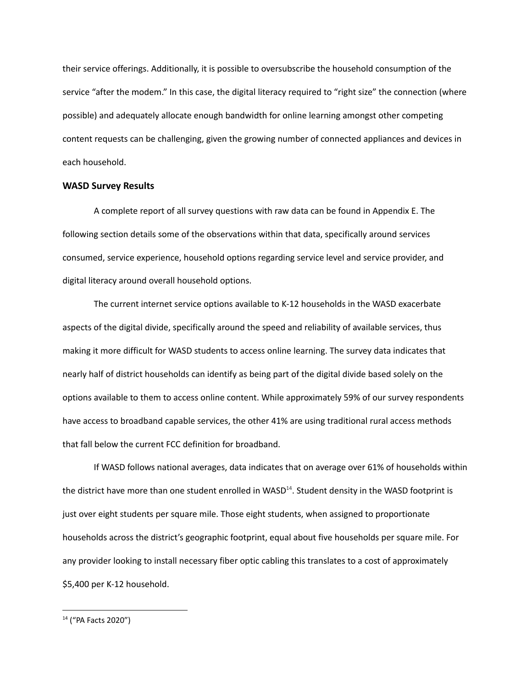their service offerings. Additionally, it is possible to oversubscribe the household consumption of the service "after the modem." In this case, the digital literacy required to "right size" the connection (where possible) and adequately allocate enough bandwidth for online learning amongst other competing content requests can be challenging, given the growing number of connected appliances and devices in each household.

### <span id="page-8-0"></span>**WASD Survey Results**

A complete report of all survey questions with raw data can be found in Appendix E. The following section details some of the observations within that data, specifically around services consumed, service experience, household options regarding service level and service provider, and digital literacy around overall household options.

The current internet service options available to K-12 households in the WASD exacerbate aspects of the digital divide, specifically around the speed and reliability of available services, thus making it more difficult for WASD students to access online learning. The survey data indicates that nearly half of district households can identify as being part of the digital divide based solely on the options available to them to access online content. While approximately 59% of our survey respondents have access to broadband capable services, the other 41% are using traditional rural access methods that fall below the current FCC definition for broadband.

If WASD follows national averages, data indicates that on average over 61% of households within the district have more than one student enrolled in WASD<sup>14</sup>. Student density in the WASD footprint is just over eight students per square mile. Those eight students, when assigned to proportionate households across the district's geographic footprint, equal about five households per square mile. For any provider looking to install necessary fiber optic cabling this translates to a cost of approximately \$5,400 per K-12 household.

<sup>14</sup> ("PA Facts 2020")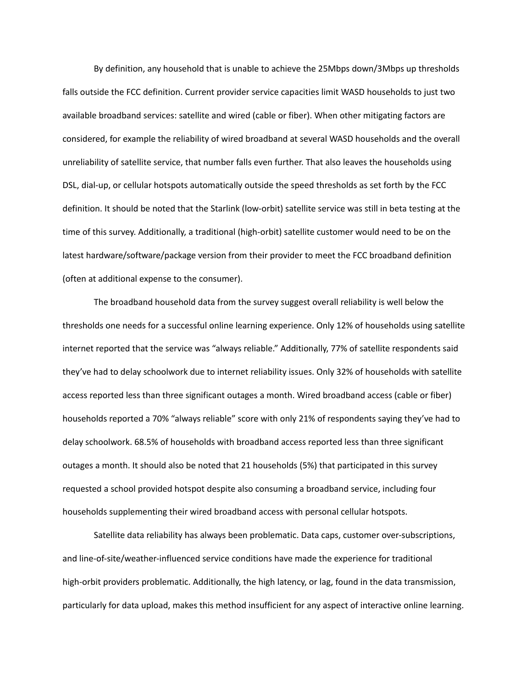By definition, any household that is unable to achieve the 25Mbps down/3Mbps up thresholds falls outside the FCC definition. Current provider service capacities limit WASD households to just two available broadband services: satellite and wired (cable or fiber). When other mitigating factors are considered, for example the reliability of wired broadband at several WASD households and the overall unreliability of satellite service, that number falls even further. That also leaves the households using DSL, dial-up, or cellular hotspots automatically outside the speed thresholds as set forth by the FCC definition. It should be noted that the Starlink (low-orbit) satellite service was still in beta testing at the time of this survey. Additionally, a traditional (high-orbit) satellite customer would need to be on the latest hardware/software/package version from their provider to meet the FCC broadband definition (often at additional expense to the consumer).

The broadband household data from the survey suggest overall reliability is well below the thresholds one needs for a successful online learning experience. Only 12% of households using satellite internet reported that the service was "always reliable." Additionally, 77% of satellite respondents said they've had to delay schoolwork due to internet reliability issues. Only 32% of households with satellite access reported less than three significant outages a month. Wired broadband access (cable or fiber) households reported a 70% "always reliable" score with only 21% of respondents saying they've had to delay schoolwork. 68.5% of households with broadband access reported less than three significant outages a month. It should also be noted that 21 households (5%) that participated in this survey requested a school provided hotspot despite also consuming a broadband service, including four households supplementing their wired broadband access with personal cellular hotspots.

Satellite data reliability has always been problematic. Data caps, customer over-subscriptions, and line-of-site/weather-influenced service conditions have made the experience for traditional high-orbit providers problematic. Additionally, the high latency, or lag, found in the data transmission, particularly for data upload, makes this method insufficient for any aspect of interactive online learning.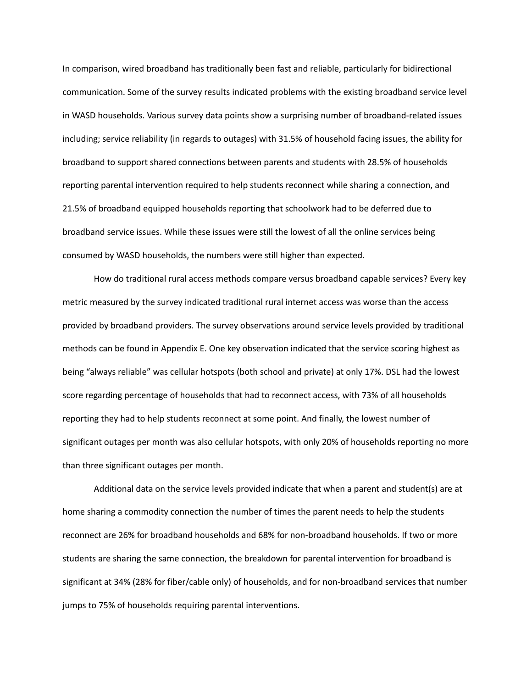In comparison, wired broadband has traditionally been fast and reliable, particularly for bidirectional communication. Some of the survey results indicated problems with the existing broadband service level in WASD households. Various survey data points show a surprising number of broadband-related issues including; service reliability (in regards to outages) with 31.5% of household facing issues, the ability for broadband to support shared connections between parents and students with 28.5% of households reporting parental intervention required to help students reconnect while sharing a connection, and 21.5% of broadband equipped households reporting that schoolwork had to be deferred due to broadband service issues. While these issues were still the lowest of all the online services being consumed by WASD households, the numbers were still higher than expected.

How do traditional rural access methods compare versus broadband capable services? Every key metric measured by the survey indicated traditional rural internet access was worse than the access provided by broadband providers. The survey observations around service levels provided by traditional methods can be found in Appendix E. One key observation indicated that the service scoring highest as being "always reliable" was cellular hotspots (both school and private) at only 17%. DSL had the lowest score regarding percentage of households that had to reconnect access, with 73% of all households reporting they had to help students reconnect at some point. And finally, the lowest number of significant outages per month was also cellular hotspots, with only 20% of households reporting no more than three significant outages per month.

Additional data on the service levels provided indicate that when a parent and student(s) are at home sharing a commodity connection the number of times the parent needs to help the students reconnect are 26% for broadband households and 68% for non-broadband households. If two or more students are sharing the same connection, the breakdown for parental intervention for broadband is significant at 34% (28% for fiber/cable only) of households, and for non-broadband services that number jumps to 75% of households requiring parental interventions.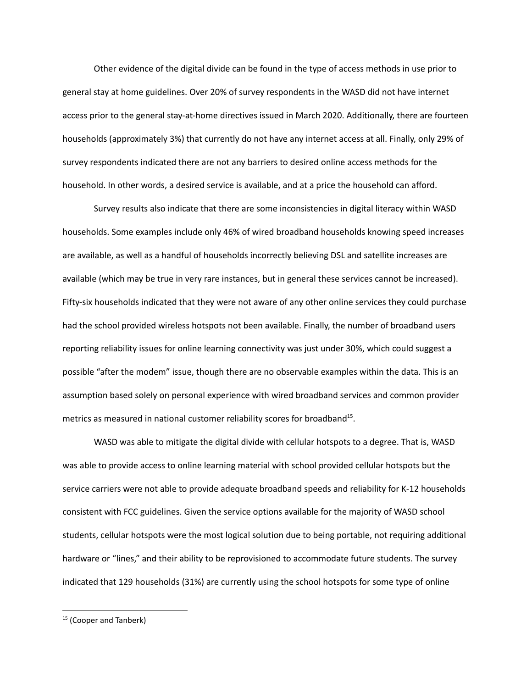Other evidence of the digital divide can be found in the type of access methods in use prior to general stay at home guidelines. Over 20% of survey respondents in the WASD did not have internet access prior to the general stay-at-home directives issued in March 2020. Additionally, there are fourteen households (approximately 3%) that currently do not have any internet access at all. Finally, only 29% of survey respondents indicated there are not any barriers to desired online access methods for the household. In other words, a desired service is available, and at a price the household can afford.

Survey results also indicate that there are some inconsistencies in digital literacy within WASD households. Some examples include only 46% of wired broadband households knowing speed increases are available, as well as a handful of households incorrectly believing DSL and satellite increases are available (which may be true in very rare instances, but in general these services cannot be increased). Fifty-six households indicated that they were not aware of any other online services they could purchase had the school provided wireless hotspots not been available. Finally, the number of broadband users reporting reliability issues for online learning connectivity was just under 30%, which could suggest a possible "after the modem" issue, though there are no observable examples within the data. This is an assumption based solely on personal experience with wired broadband services and common provider metrics as measured in national customer reliability scores for broadband<sup>15</sup>.

WASD was able to mitigate the digital divide with cellular hotspots to a degree. That is, WASD was able to provide access to online learning material with school provided cellular hotspots but the service carriers were not able to provide adequate broadband speeds and reliability for K-12 households consistent with FCC guidelines. Given the service options available for the majority of WASD school students, cellular hotspots were the most logical solution due to being portable, not requiring additional hardware or "lines," and their ability to be reprovisioned to accommodate future students. The survey indicated that 129 households (31%) are currently using the school hotspots for some type of online

<sup>&</sup>lt;sup>15</sup> (Cooper and Tanberk)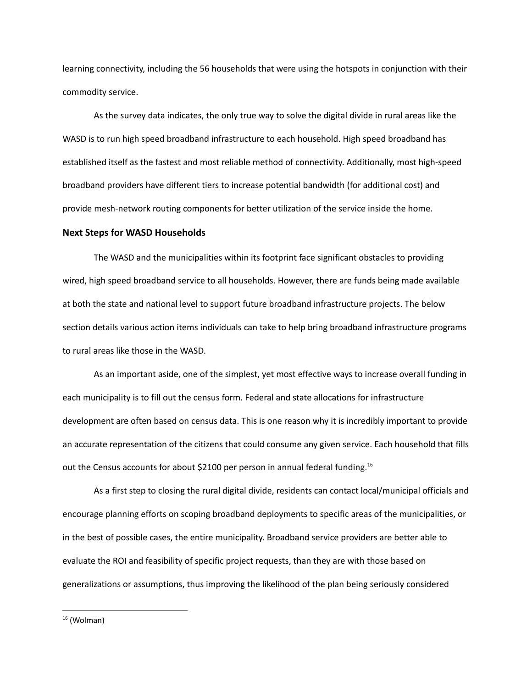learning connectivity, including the 56 households that were using the hotspots in conjunction with their commodity service.

As the survey data indicates, the only true way to solve the digital divide in rural areas like the WASD is to run high speed broadband infrastructure to each household. High speed broadband has established itself as the fastest and most reliable method of connectivity. Additionally, most high-speed broadband providers have different tiers to increase potential bandwidth (for additional cost) and provide mesh-network routing components for better utilization of the service inside the home.

#### <span id="page-12-0"></span>**Next Steps for WASD Households**

The WASD and the municipalities within its footprint face significant obstacles to providing wired, high speed broadband service to all households. However, there are funds being made available at both the state and national level to support future broadband infrastructure projects. The below section details various action items individuals can take to help bring broadband infrastructure programs to rural areas like those in the WASD.

As an important aside, one of the simplest, yet most effective ways to increase overall funding in each municipality is to fill out the census form. Federal and state allocations for infrastructure development are often based on census data. This is one reason why it is incredibly important to provide an accurate representation of the citizens that could consume any given service. Each household that fills out the Census accounts for about \$2100 per person in annual federal funding.<sup>16</sup>

As a first step to closing the rural digital divide, residents can contact local/municipal officials and encourage planning efforts on scoping broadband deployments to specific areas of the municipalities, or in the best of possible cases, the entire municipality. Broadband service providers are better able to evaluate the ROI and feasibility of specific project requests, than they are with those based on generalizations or assumptions, thus improving the likelihood of the plan being seriously considered

 $16$  (Wolman)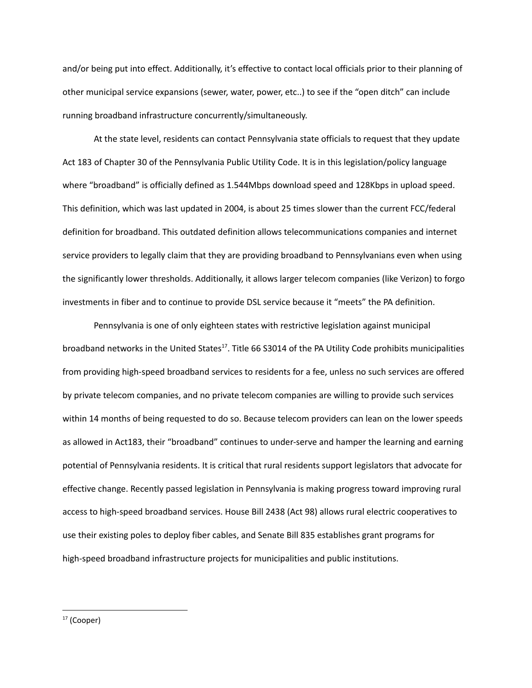and/or being put into effect. Additionally, it's effective to contact local officials prior to their planning of other municipal service expansions (sewer, water, power, etc..) to see if the "open ditch" can include running broadband infrastructure concurrently/simultaneously.

At the state level, residents can contact Pennsylvania state officials to request that they update Act 183 of Chapter 30 of the Pennsylvania Public Utility Code. It is in this legislation/policy language where "broadband" is officially defined as 1.544Mbps download speed and 128Kbps in upload speed. This definition, which was last updated in 2004, is about 25 times slower than the current FCC/federal definition for broadband. This outdated definition allows telecommunications companies and internet service providers to legally claim that they are providing broadband to Pennsylvanians even when using the significantly lower thresholds. Additionally, it allows larger telecom companies (like Verizon) to forgo investments in fiber and to continue to provide DSL service because it "meets" the PA definition.

Pennsylvania is one of only eighteen states with restrictive legislation against municipal broadband networks in the United States<sup>17</sup>. Title 66 S3014 of the PA Utility Code prohibits municipalities from providing high-speed broadband services to residents for a fee, unless no such services are offered by private telecom companies, and no private telecom companies are willing to provide such services within 14 months of being requested to do so. Because telecom providers can lean on the lower speeds as allowed in Act183, their "broadband" continues to under-serve and hamper the learning and earning potential of Pennsylvania residents. It is critical that rural residents support legislators that advocate for effective change. Recently passed legislation in Pennsylvania is making progress toward improving rural access to high-speed broadband services. House Bill 2438 (Act 98) allows rural electric cooperatives to use their existing poles to deploy fiber cables, and Senate Bill 835 establishes grant programs for high-speed broadband infrastructure projects for municipalities and public institutions.

<sup>&</sup>lt;sup>17</sup> (Cooper)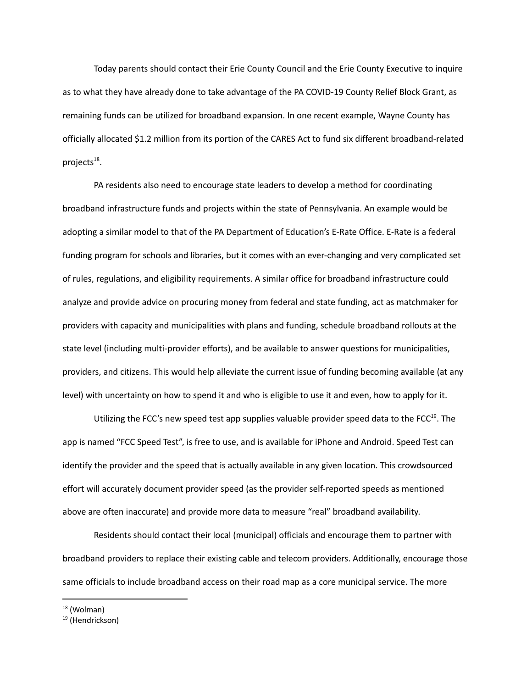Today parents should contact their Erie County Council and the Erie County Executive to inquire as to what they have already done to take advantage of the PA COVID-19 County Relief Block Grant, as remaining funds can be utilized for broadband expansion. In one recent example, Wayne County has officially allocated \$1.2 million from its portion of the CARES Act to fund six different broadband-related projects<sup>18</sup>.

PA residents also need to encourage state leaders to develop a method for coordinating broadband infrastructure funds and projects within the state of Pennsylvania. An example would be adopting a similar model to that of the PA Department of Education's E-Rate Office. E-Rate is a federal funding program for schools and libraries, but it comes with an ever-changing and very complicated set of rules, regulations, and eligibility requirements. A similar office for broadband infrastructure could analyze and provide advice on procuring money from federal and state funding, act as matchmaker for providers with capacity and municipalities with plans and funding, schedule broadband rollouts at the state level (including multi-provider efforts), and be available to answer questions for municipalities, providers, and citizens. This would help alleviate the current issue of funding becoming available (at any level) with uncertainty on how to spend it and who is eligible to use it and even, how to apply for it.

Utilizing the FCC's new speed test app supplies valuable provider speed data to the FCC<sup>19</sup>. The app is named "FCC Speed Test", is free to use, and is available for iPhone and Android. Speed Test can identify the provider and the speed that is actually available in any given location. This crowdsourced effort will accurately document provider speed (as the provider self-reported speeds as mentioned above are often inaccurate) and provide more data to measure "real" broadband availability.

Residents should contact their local (municipal) officials and encourage them to partner with broadband providers to replace their existing cable and telecom providers. Additionally, encourage those same officials to include broadband access on their road map as a core municipal service. The more

 $18$  (Wolman)

<sup>&</sup>lt;sup>19</sup> (Hendrickson)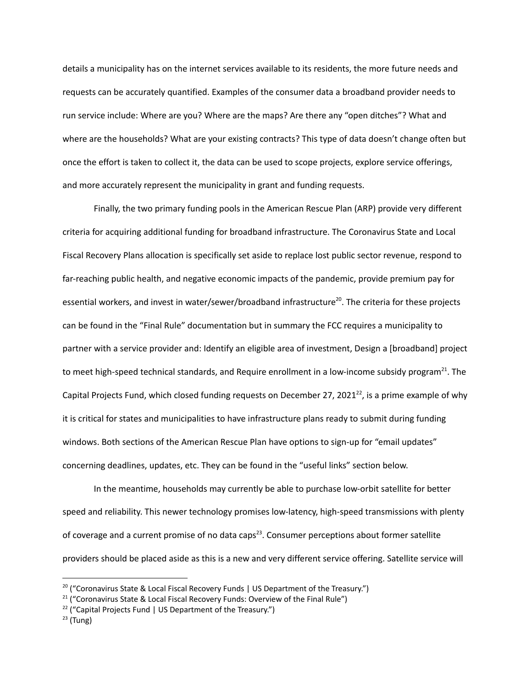details a municipality has on the internet services available to its residents, the more future needs and requests can be accurately quantified. Examples of the consumer data a broadband provider needs to run service include: Where are you? Where are the maps? Are there any "open ditches"? What and where are the households? What are your existing contracts? This type of data doesn't change often but once the effort is taken to collect it, the data can be used to scope projects, explore service offerings, and more accurately represent the municipality in grant and funding requests.

Finally, the two primary funding pools in the American Rescue Plan (ARP) provide very different criteria for acquiring additional funding for broadband infrastructure. The Coronavirus State and Local Fiscal Recovery Plans allocation is specifically set aside to replace lost public sector revenue, respond to far-reaching public health, and negative economic impacts of the pandemic, provide premium pay for essential workers, and invest in water/sewer/broadband infrastructure<sup>20</sup>. The criteria for these projects can be found in the "Final Rule" documentation but in summary the FCC requires a municipality to partner with a service provider and: Identify an eligible area of investment, Design a [broadband] project to meet high-speed technical standards, and Require enrollment in a low-income subsidy program<sup>21</sup>. The Capital Projects Fund, which closed funding requests on December 27, 2021<sup>22</sup>, is a prime example of why it is critical for states and municipalities to have infrastructure plans ready to submit during funding windows. Both sections of the American Rescue Plan have options to sign-up for "email updates" concerning deadlines, updates, etc. They can be found in the "useful links" section below.

In the meantime, households may currently be able to purchase low-orbit satellite for better speed and reliability. This newer technology promises low-latency, high-speed transmissions with plenty of coverage and a current promise of no data caps<sup>23</sup>. Consumer perceptions about former satellite providers should be placed aside as this is a new and very different service offering. Satellite service will

 $20$  ("Coronavirus State & Local Fiscal Recovery Funds | US Department of the Treasury.")

 $21$  ("Coronavirus State & Local Fiscal Recovery Funds: Overview of the Final Rule")

 $22$  ("Capital Projects Fund | US Department of the Treasury.")

 $23$  (Tung)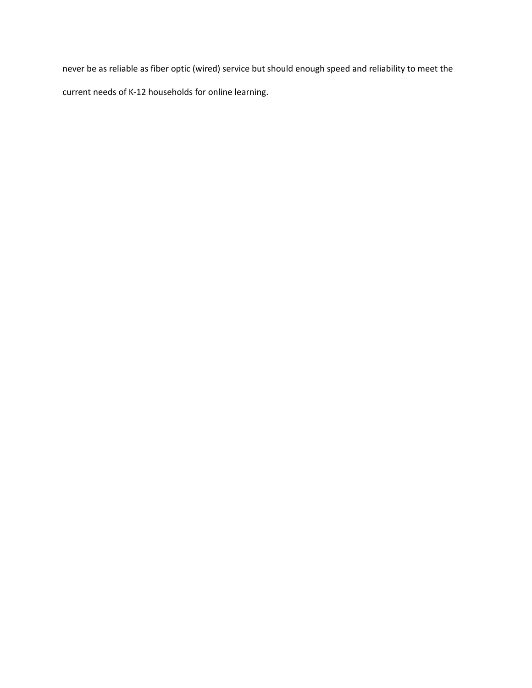never be as reliable as fiber optic (wired) service but should enough speed and reliability to meet the current needs of K-12 households for online learning.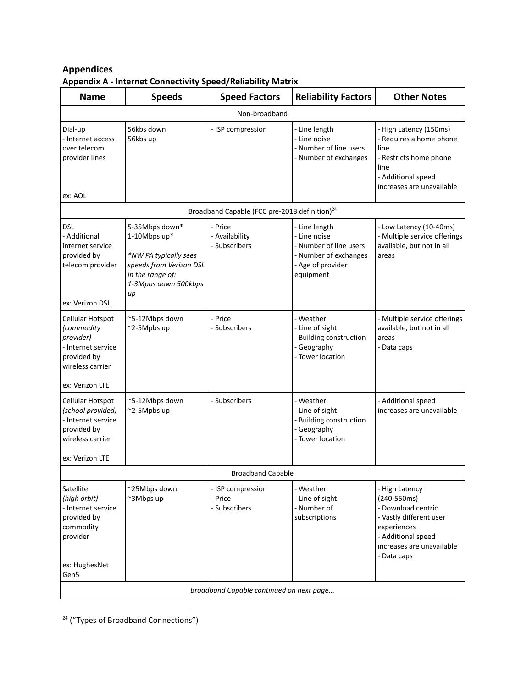## <span id="page-17-0"></span>**Appendices Appendix A - Internet Connectivity Speed/Reliability Matrix**

<span id="page-17-1"></span>

| <b>Name</b>                                                                                                             | <b>Speeds</b>                                                                                                                           | <b>Speed Factors</b>                                      | <b>Reliability Factors</b>                                                                                       | <b>Other Notes</b>                                                                                                                                              |
|-------------------------------------------------------------------------------------------------------------------------|-----------------------------------------------------------------------------------------------------------------------------------------|-----------------------------------------------------------|------------------------------------------------------------------------------------------------------------------|-----------------------------------------------------------------------------------------------------------------------------------------------------------------|
|                                                                                                                         |                                                                                                                                         | Non-broadband                                             |                                                                                                                  |                                                                                                                                                                 |
| Dial-up<br>- Internet access<br>over telecom<br>provider lines<br>ex: AOL                                               | 56kbs down<br>56kbs up                                                                                                                  | - ISP compression                                         | - Line length<br>- Line noise<br>- Number of line users<br>- Number of exchanges                                 | - High Latency (150ms)<br>- Requires a home phone<br>line<br>- Restricts home phone<br>line<br>- Additional speed<br>increases are unavailable                  |
|                                                                                                                         |                                                                                                                                         | Broadband Capable (FCC pre-2018 definition) <sup>24</sup> |                                                                                                                  |                                                                                                                                                                 |
| <b>DSL</b><br>- Additional<br>internet service<br>provided by<br>telecom provider<br>ex: Verizon DSL                    | 5-35Mbps down*<br>1-10Mbps up*<br>*NW PA typically sees<br>speeds from Verizon DSL<br>in the range of:<br>1-3Mpbs down 500kbps<br>$\mu$ | - Price<br>- Availability<br>- Subscribers                | Line length<br>- Line noise<br>- Number of line users<br>- Number of exchanges<br>- Age of provider<br>equipment | - Low Latency (10-40ms)<br>- Multiple service offerings<br>available, but not in all<br>areas                                                                   |
| Cellular Hotspot<br>(commodity<br>provider)<br>- Internet service<br>provided by<br>wireless carrier<br>ex: Verizon LTE | ~5-12Mbps down<br>~2-5Mpbs up                                                                                                           | - Price<br>- Subscribers                                  | - Weather<br>- Line of sight<br>- Building construction<br>- Geography<br>- Tower location                       | - Multiple service offerings<br>available, but not in all<br>areas<br>- Data caps                                                                               |
| Cellular Hotspot<br>(school provided)<br>- Internet service<br>provided by<br>wireless carrier<br>ex: Verizon LTE       | ~5-12Mbps down<br>~2-5Mpbs up                                                                                                           | - Subscribers                                             | - Weather<br>- Line of sight<br>- Building construction<br>- Geography<br>- Tower location                       | - Additional speed<br>increases are unavailable                                                                                                                 |
|                                                                                                                         |                                                                                                                                         | <b>Broadband Capable</b>                                  |                                                                                                                  |                                                                                                                                                                 |
| Satellite<br>(high orbit)<br>- Internet service<br>provided by<br>commodity<br>provider<br>ex: HughesNet<br>Gen5        | ~25Mbps down<br>~3Mbps up                                                                                                               | - ISP compression<br>- Price<br>- Subscribers             | - Weather<br>- Line of sight<br>- Number of<br>subscriptions                                                     | - High Latency<br>(240-550ms)<br>- Download centric<br>- Vastly different user<br>experiences<br>- Additional speed<br>increases are unavailable<br>- Data caps |
|                                                                                                                         |                                                                                                                                         | Broadband Capable continued on next page                  |                                                                                                                  |                                                                                                                                                                 |

<sup>&</sup>lt;sup>24</sup> ("Types of Broadband Connections")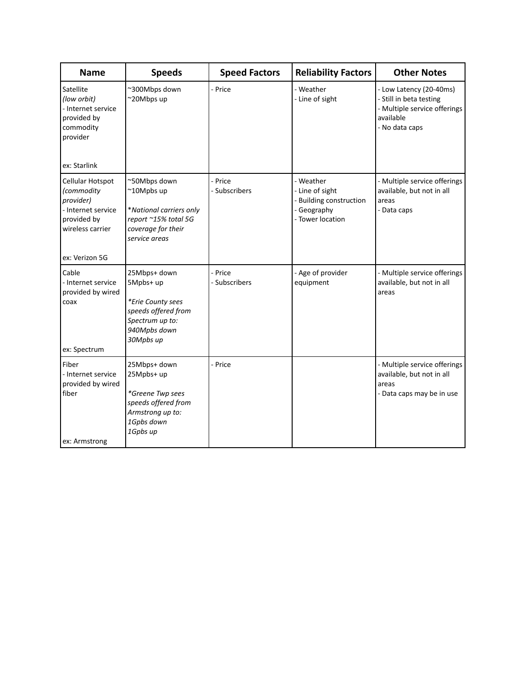| <b>Name</b>                                                                                            | <b>Speeds</b>                                                                                                         | <b>Speed Factors</b>     | <b>Reliability Factors</b>                                                                 | <b>Other Notes</b>                                                                                                |
|--------------------------------------------------------------------------------------------------------|-----------------------------------------------------------------------------------------------------------------------|--------------------------|--------------------------------------------------------------------------------------------|-------------------------------------------------------------------------------------------------------------------|
| Satellite<br>(low orbit)<br>- Internet service<br>provided by<br>commodity<br>provider<br>ex: Starlink | ~300Mbps down<br>~20Mbps up                                                                                           | - Price                  | - Weather<br>- Line of sight                                                               | - Low Latency (20-40ms)<br>- Still in beta testing<br>- Multiple service offerings<br>available<br>- No data caps |
| Cellular Hotspot<br>(commodity<br>provider)<br>- Internet service<br>provided by<br>wireless carrier   | ~50Mbps down<br>~10Mpbs up<br>*National carriers only<br>report ~15% total 5G<br>coverage for their<br>service areas  | - Price<br>- Subscribers | - Weather<br>- Line of sight<br>- Building construction<br>- Geography<br>- Tower location | - Multiple service offerings<br>available, but not in all<br>areas<br>- Data caps                                 |
| ex: Verizon 5G                                                                                         |                                                                                                                       |                          |                                                                                            |                                                                                                                   |
| Cable<br>- Internet service<br>provided by wired<br>coax<br>ex: Spectrum                               | 25Mbps+ down<br>5Mpbs+ up<br>*Erie County sees<br>speeds offered from<br>Spectrum up to:<br>940Mpbs down<br>30Mpbs up | - Price<br>- Subscribers | - Age of provider<br>equipment                                                             | - Multiple service offerings<br>available, but not in all<br>areas                                                |
| Fiber<br>- Internet service<br>provided by wired<br>fiber<br>ex: Armstrong                             | 25Mbps+ down<br>25Mpbs+ up<br>*Greene Twp sees<br>speeds offered from<br>Armstrong up to:<br>1Gpbs down<br>1Gpbs up   | - Price                  |                                                                                            | - Multiple service offerings<br>available, but not in all<br>areas<br>- Data caps may be in use                   |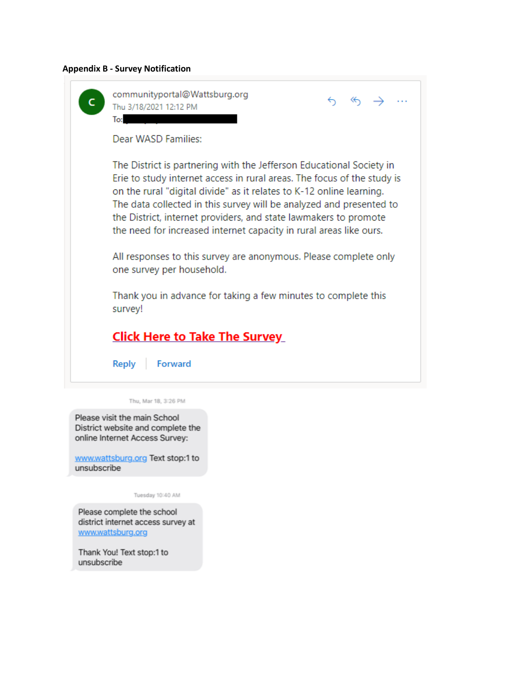## <span id="page-19-0"></span>**Appendix B - Survey Notification**

| communityportal@Wattsburg.org<br>$6 \Leftrightarrow \rightarrow$<br>Thu 3/18/2021 12:12 PM<br>To:                                                                                                                                                                                                                                                                                                                                        |
|------------------------------------------------------------------------------------------------------------------------------------------------------------------------------------------------------------------------------------------------------------------------------------------------------------------------------------------------------------------------------------------------------------------------------------------|
| Dear WASD Families:                                                                                                                                                                                                                                                                                                                                                                                                                      |
| The District is partnering with the Jefferson Educational Society in<br>Erie to study internet access in rural areas. The focus of the study is<br>on the rural "digital divide" as it relates to K-12 online learning.<br>The data collected in this survey will be analyzed and presented to<br>the District, internet providers, and state lawmakers to promote<br>the need for increased internet capacity in rural areas like ours. |
| All responses to this survey are anonymous. Please complete only<br>one survey per household.                                                                                                                                                                                                                                                                                                                                            |
| Thank you in advance for taking a few minutes to complete this<br>survey!                                                                                                                                                                                                                                                                                                                                                                |
| <b>Click Here to Take The Survey</b>                                                                                                                                                                                                                                                                                                                                                                                                     |
| Reply<br>Forward                                                                                                                                                                                                                                                                                                                                                                                                                         |

District website and complete the online Internet Access Survey:

www.wattsburg.org Text stop:1 to<br>unsubscribe

Tuesday 10:40 AM

Please complete the school district internet access survey at www.wattsburg.org

Thank You! Text stop:1 to unsubscribe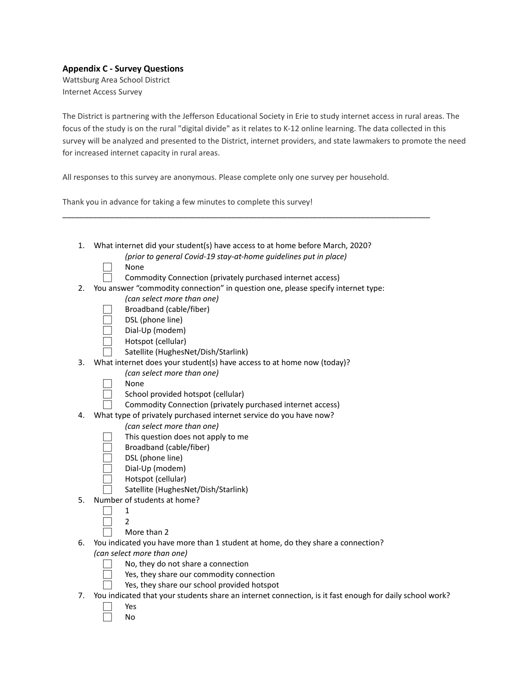### <span id="page-20-0"></span>**Appendix C - Survey Questions**

Wattsburg Area School District Internet Access Survey

The District is partnering with the Jefferson Educational Society in Erie to study internet access in rural areas. The focus of the study is on the rural "digital divide" as it relates to K-12 online learning. The data collected in this survey will be analyzed and presented to the District, internet providers, and state lawmakers to promote the need for increased internet capacity in rural areas.

All responses to this survey are anonymous. Please complete only one survey per household.

\_\_\_\_\_\_\_\_\_\_\_\_\_\_\_\_\_\_\_\_\_\_\_\_\_\_\_\_\_\_\_\_\_\_\_\_\_\_\_\_\_\_\_\_\_\_\_\_\_\_\_\_\_\_\_\_\_\_\_\_\_\_\_\_\_\_\_\_\_\_\_\_\_\_\_\_\_\_\_\_\_\_\_\_\_

Thank you in advance for taking a few minutes to complete this survey!

| 1. | What internet did your student(s) have access to at home before March, 2020?     |
|----|----------------------------------------------------------------------------------|
|    | (prior to general Covid-19 stay-at-home guidelines put in place)                 |
|    | None                                                                             |
|    | Commodity Connection (privately purchased internet access)                       |
| 2. | You answer "commodity connection" in question one, please specify internet type: |
|    | (can select more than one)                                                       |
|    | Broadband (cable/fiber)                                                          |
|    | DSL (phone line)                                                                 |
|    | Dial-Up (modem)                                                                  |
|    | Hotspot (cellular)                                                               |
|    | Satellite (HughesNet/Dish/Starlink)                                              |
| 3. | What internet does your student(s) have access to at home now (today)?           |
|    | (can select more than one)                                                       |
|    | None                                                                             |
|    | School provided hotspot (cellular)                                               |
|    | Commodity Connection (privately purchased internet access)                       |
| 4. | What type of privately purchased internet service do you have now?               |
|    | (can select more than one)                                                       |
|    | This question does not apply to me                                               |
|    | Broadband (cable/fiber)                                                          |
|    | DSL (phone line)                                                                 |
|    | Dial-Up (modem)                                                                  |
|    | Hotspot (cellular)                                                               |
|    | Satellite (HughesNet/Dish/Starlink)                                              |
| 5. | Number of students at home?                                                      |
|    | 1                                                                                |
|    | 2                                                                                |
|    | More than 2                                                                      |
| 6. | You indicated you have more than 1 student at home, do they share a connection?  |
|    | (can select more than one)                                                       |
|    | No, they do not share a connection                                               |
|    |                                                                                  |

Yes, they share our commodity connection

- Yes, they share our school provided hotspot 7. You indicated that your students share an internet connection, is it fast enough for daily school work?
	- ⃞ Yes
	- ⃞ No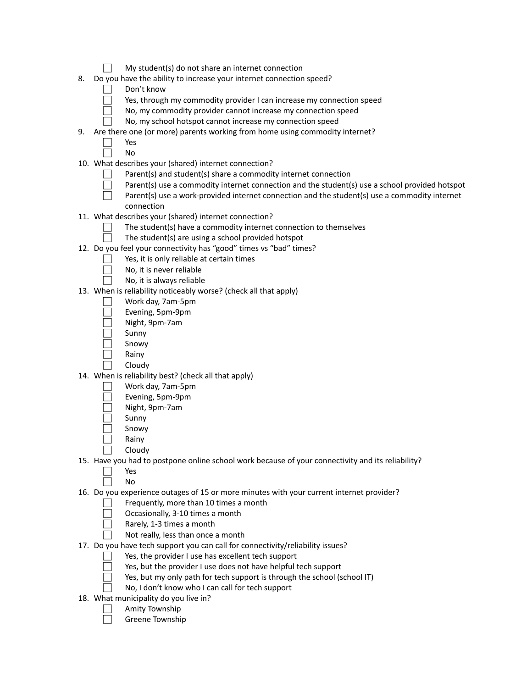|    | My student(s) do not share an internet connection                                                 |
|----|---------------------------------------------------------------------------------------------------|
| 8. | Do you have the ability to increase your internet connection speed?                               |
|    | Don't know                                                                                        |
|    | Yes, through my commodity provider I can increase my connection speed                             |
|    | No, my commodity provider cannot increase my connection speed                                     |
|    | No, my school hotspot cannot increase my connection speed                                         |
| 9. | Are there one (or more) parents working from home using commodity internet?                       |
|    | Yes                                                                                               |
|    | No                                                                                                |
|    | 10. What describes your (shared) internet connection?                                             |
|    | Parent(s) and student(s) share a commodity internet connection                                    |
|    | Parent(s) use a commodity internet connection and the student(s) use a school provided hotspot    |
|    | Parent(s) use a work-provided internet connection and the student(s) use a commodity internet     |
|    | connection                                                                                        |
|    | 11. What describes your (shared) internet connection?                                             |
|    | The student(s) have a commodity internet connection to themselves                                 |
|    | The student(s) are using a school provided hotspot                                                |
|    | 12. Do you feel your connectivity has "good" times vs "bad" times?                                |
|    | Yes, it is only reliable at certain times                                                         |
|    | No, it is never reliable                                                                          |
|    | No, it is always reliable                                                                         |
|    | 13. When is reliability noticeably worse? (check all that apply)                                  |
|    | Work day, 7am-5pm                                                                                 |
|    | Evening, 5pm-9pm                                                                                  |
|    | Night, 9pm-7am                                                                                    |
|    | Sunny<br>Snowy                                                                                    |
|    | Rainy                                                                                             |
|    | Cloudy                                                                                            |
|    | 14. When is reliability best? (check all that apply)                                              |
|    | Work day, 7am-5pm                                                                                 |
|    | Evening, 5pm-9pm                                                                                  |
|    | Night, 9pm-7am                                                                                    |
|    | Sunny                                                                                             |
|    | Snowy                                                                                             |
|    | Rainy                                                                                             |
|    | Cloudy                                                                                            |
|    | 15. Have you had to postpone online school work because of your connectivity and its reliability? |
|    | Yes                                                                                               |
|    | No                                                                                                |
|    | 16. Do you experience outages of 15 or more minutes with your current internet provider?          |
|    | Frequently, more than 10 times a month                                                            |
|    | Occasionally, 3-10 times a month                                                                  |
|    | Rarely, 1-3 times a month                                                                         |
|    | Not really, less than once a month                                                                |
|    | 17. Do you have tech support you can call for connectivity/reliability issues?                    |
|    | Yes, the provider I use has excellent tech support                                                |
|    | Yes, but the provider I use does not have helpful tech support                                    |
|    | Yes, but my only path for tech support is through the school (school IT)                          |
|    | No, I don't know who I can call for tech support                                                  |
|    | 18. What municipality do you live in?                                                             |
|    | Amity Township                                                                                    |
|    | Greene Township                                                                                   |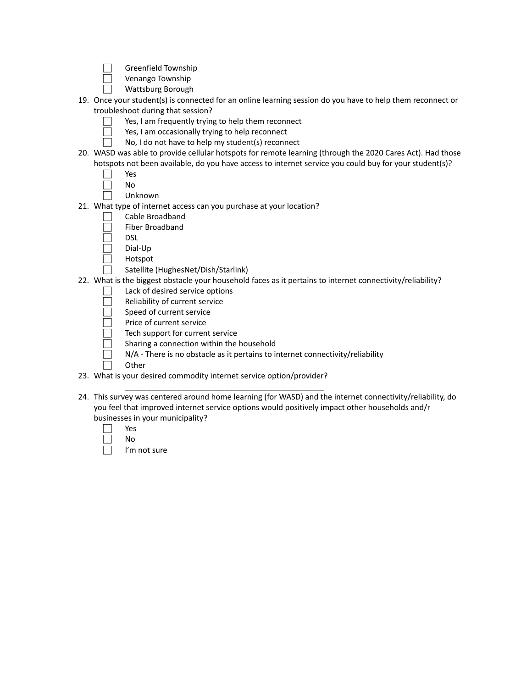- ⃞ Greenfield Township
- ⃞ Venango Township
- ⃞ Wattsburg Borough
- 19. Once your student(s) is connected for an online learning session do you have to help them reconnect or troubleshoot during that session?
	- Yes, I am frequently trying to help them reconnect
	- □ Yes, I am occasionally trying to help reconnect
		- No, I do not have to help my student(s) reconnect
- 20. WASD was able to provide cellular hotspots for remote learning (through the 2020 Cares Act). Had those hotspots not been available, do you have access to internet service you could buy for your student(s)?

| ×<br>×<br>۰,<br>٠ |
|-------------------|
|-------------------|

- ⃞ No
- ⃞ Unknown
- 21. What type of internet access can you purchase at your location?
	- ⃞ Cable Broadband
	- ⃞ Fiber Broadband
	- ⃞ DSL
	- Dial-Up
	- **Hotspot**
	- Satellite (HughesNet/Dish/Starlink)
- 22. What is the biggest obstacle your household faces as it pertains to internet connectivity/reliability?
	- Lack of desired service options
	- ⃞ Reliability of current service
	- Speed of current service
	- ⃞ Price of current service
	- Tech support for current service
	- Sharing a connection within the household
	- ⃞ N/A There is no obstacle as it pertains to internet connectivity/reliability
	- **Other**
- 23. What is your desired commodity internet service option/provider?

\_\_\_\_\_\_\_\_\_\_\_\_\_\_\_\_\_\_\_\_\_\_\_\_\_\_\_\_\_\_\_\_\_\_\_\_\_\_\_\_\_\_\_\_\_\_

- 24. This survey was centered around home learning (for WASD) and the internet connectivity/reliability, do you feel that improved internet service options would positively impact other households and/r businesses in your municipality?
	- ⃞ Yes ⃞ No
		- I'm not sure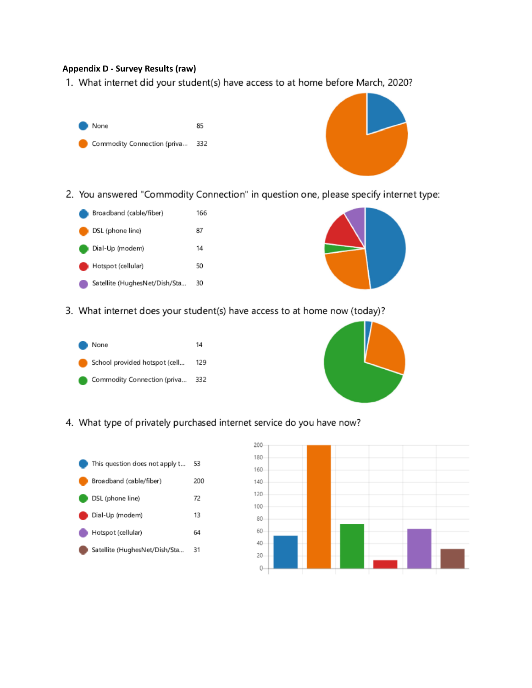### **Appendix D - Survey Results (raw)**

<span id="page-23-0"></span>1. What internet did your student(s) have access to at home before March, 2020?



2. You answered "Commodity Connection" in question one, please specify internet type:





3. What internet does your student(s) have access to at home now (today)?





4. What type of privately purchased internet service do you have now?



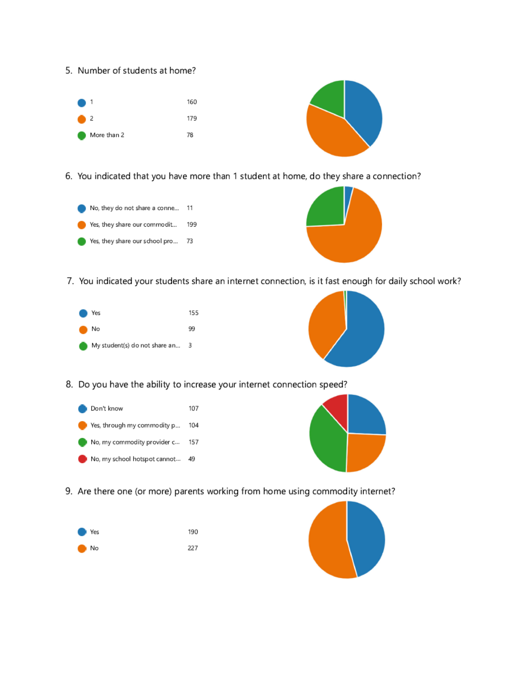5. Number of students at home?





6. You indicated that you have more than 1 student at home, do they share a connection?





7. You indicated your students share an internet connection, is it fast enough for daily school work?





8. Do you have the ability to increase your internet connection speed?





9. Are there one (or more) parents working from home using commodity internet?



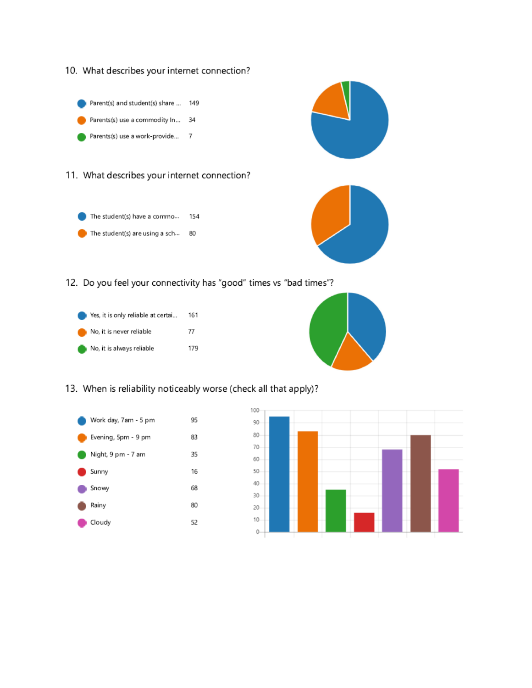



The student(s) have a commo... 154 ٠ The student(s) are using a sch... 80



12. Do you feel your connectivity has "good" times vs "bad times"?





13. When is reliability noticeably worse (check all that apply)?



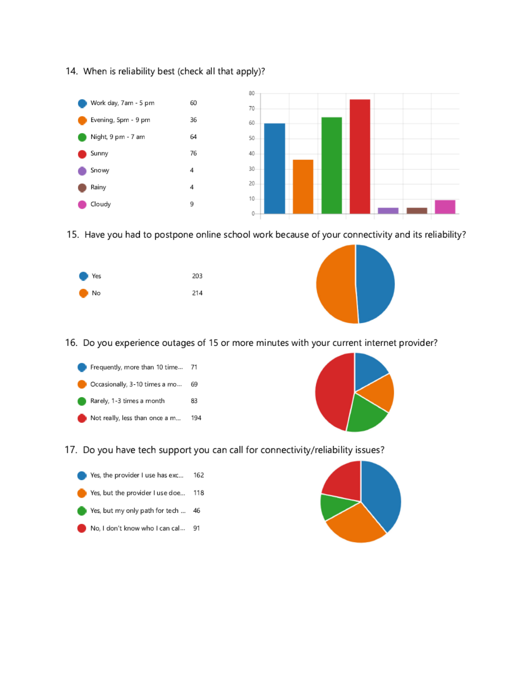14. When is reliability best (check all that apply)?



15. Have you had to postpone online school work because of your connectivity and its reliability?





16. Do you experience outages of 15 or more minutes with your current internet provider?





17. Do you have tech support you can call for connectivity/reliability issues?



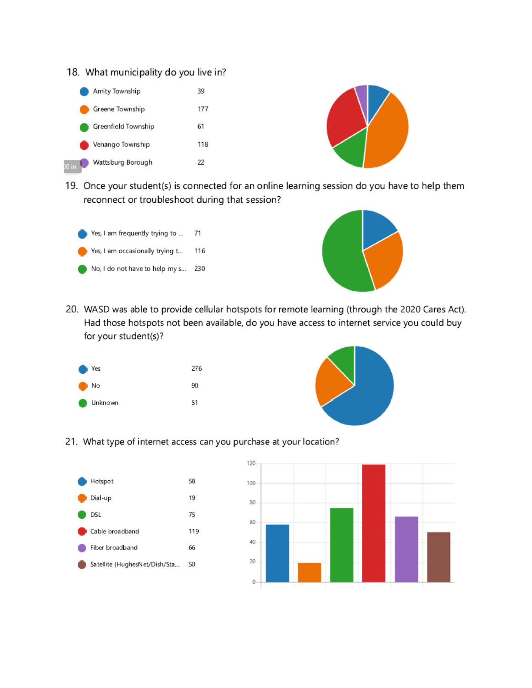





19. Once your student(s) is connected for an online learning session do you have to help them reconnect or troubleshoot during that session?





20. WASD was able to provide cellular hotspots for remote learning (through the 2020 Cares Act). Had those hotspots not been available, do you have access to internet service you could buy for your student(s)?





21. What type of internet access can you purchase at your location?



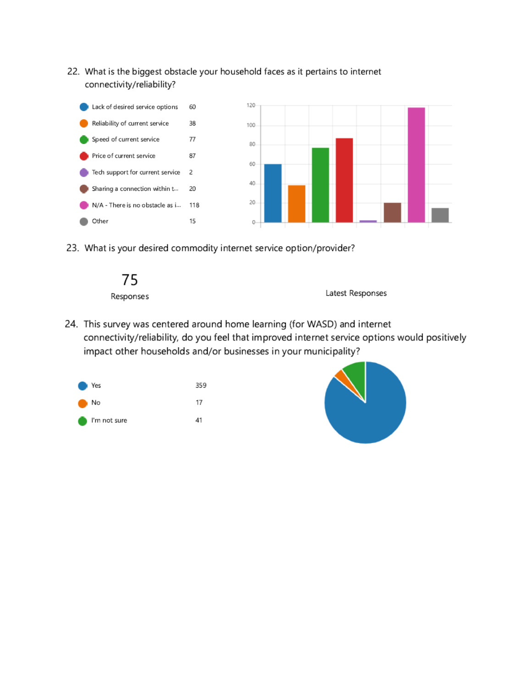22. What is the biggest obstacle your household faces as it pertains to internet connectivity/reliability?



23. What is your desired commodity internet service option/provider?



Latest Responses

24. This survey was centered around home learning (for WASD) and internet connectivity/reliability, do you feel that improved internet service options would positively impact other households and/or businesses in your municipality?



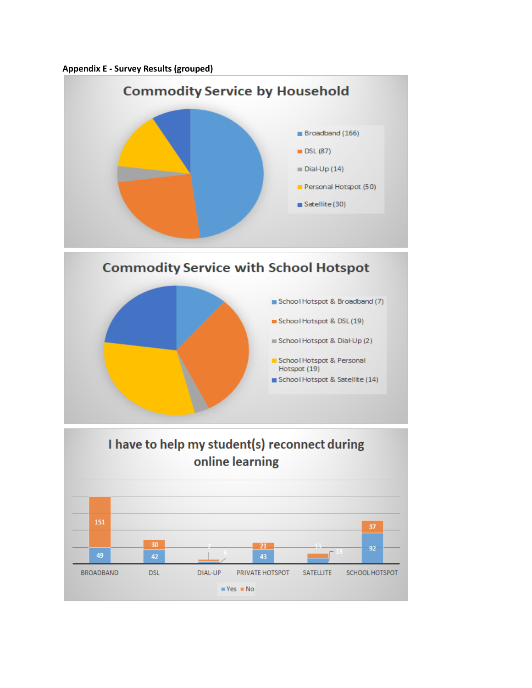<span id="page-29-0"></span>



 $Yes = No$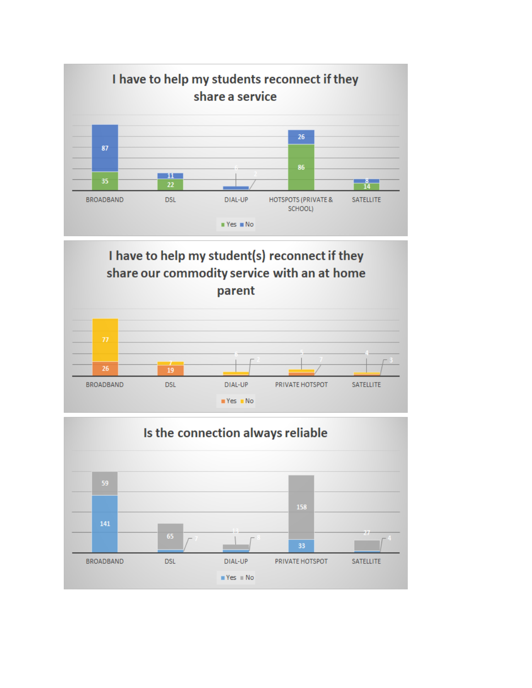



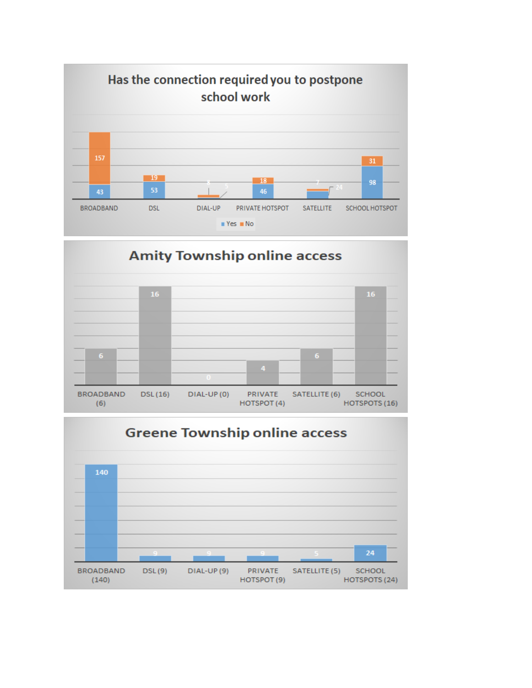



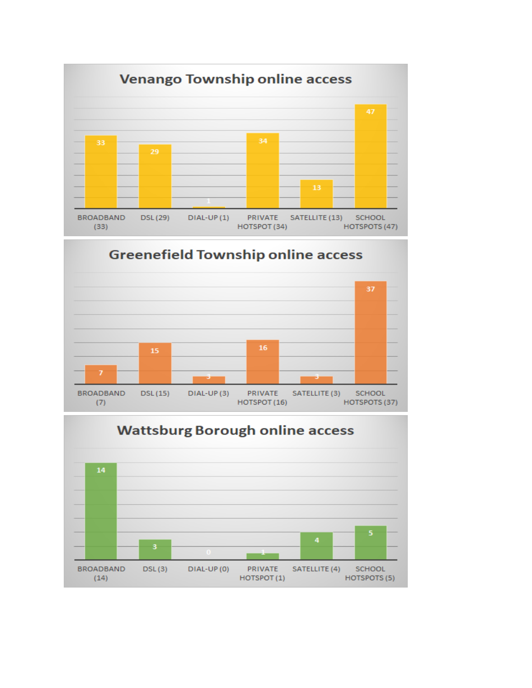

# **Greenefield Township online access**



# **Wattsburg Borough online access** 14 **BROADBAND**  $DSL(3)$ DIAL-UP (0) PRIVATE SATELLITE (4) **SCHOOL**  $(14)$ HOTSPOT (1) HOTSPOTS (5)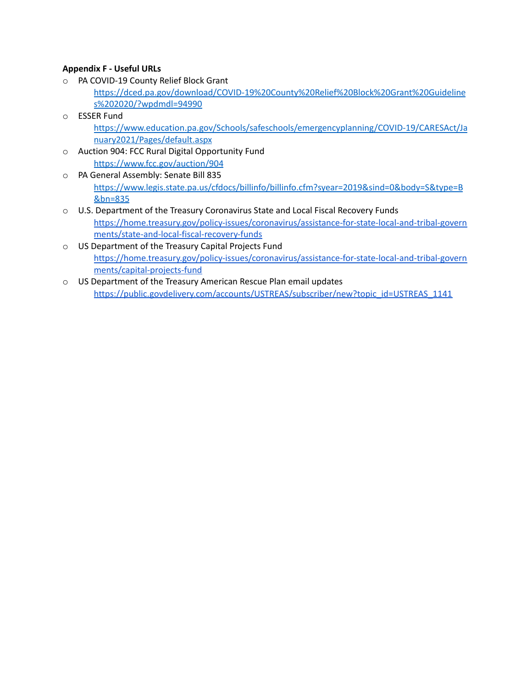## <span id="page-33-0"></span>**Appendix F - Useful URLs**

- o PA COVID-19 County Relief Block Grant [https://dced.pa.gov/download/COVID-19%20County%20Relief%20Block%20Grant%20Guideline](https://dced.pa.gov/download/COVID-19%20County%20Relief%20Block%20Grant%20Guidelines%202020/?wpdmdl=94990) [s%202020/?wpdmdl=94990](https://dced.pa.gov/download/COVID-19%20County%20Relief%20Block%20Grant%20Guidelines%202020/?wpdmdl=94990)
- o ESSER Fund [https://www.education.pa.gov/Schools/safeschools/emergencyplanning/COVID-19/CARESAct/Ja](https://www.education.pa.gov/Schools/safeschools/emergencyplanning/COVID-19/CARESAct/January2021/Pages/default.aspx) [nuary2021/Pages/default.aspx](https://www.education.pa.gov/Schools/safeschools/emergencyplanning/COVID-19/CARESAct/January2021/Pages/default.aspx)
- o Auction 904: FCC Rural Digital Opportunity Fund <https://www.fcc.gov/auction/904>
- o PA General Assembly: Senate Bill 835 [https://www.legis.state.pa.us/cfdocs/billinfo/billinfo.cfm?syear=2019&sind=0&body=S&type=B](https://www.legis.state.pa.us/cfdocs/billinfo/billinfo.cfm?syear=2019&sind=0&body=S&type=B&bn=835) [&bn=835](https://www.legis.state.pa.us/cfdocs/billinfo/billinfo.cfm?syear=2019&sind=0&body=S&type=B&bn=835)
- o U.S. Department of the Treasury Coronavirus State and Local Fiscal Recovery Funds [https://home.treasury.gov/policy-issues/coronavirus/assistance-for-state-local-and-tribal-govern](https://home.treasury.gov/policy-issues/coronavirus/assistance-for-state-local-and-tribal-governments/state-and-local-fiscal-recovery-funds) [ments/state-and-local-fiscal-recovery-funds](https://home.treasury.gov/policy-issues/coronavirus/assistance-for-state-local-and-tribal-governments/state-and-local-fiscal-recovery-funds)
- o US Department of the Treasury Capital Projects Fund [https://home.treasury.gov/policy-issues/coronavirus/assistance-for-state-local-and-tribal-govern](https://home.treasury.gov/policy-issues/coronavirus/assistance-for-state-local-and-tribal-governments/capital-projects-fund) [ments/capital-projects-fund](https://home.treasury.gov/policy-issues/coronavirus/assistance-for-state-local-and-tribal-governments/capital-projects-fund)
- o US Department of the Treasury American Rescue Plan email updates [https://public.govdelivery.com/accounts/USTREAS/subscriber/new?topic\\_id=USTREAS\\_1141](https://public.govdelivery.com/accounts/USTREAS/subscriber/new?topic_id=USTREAS_1141)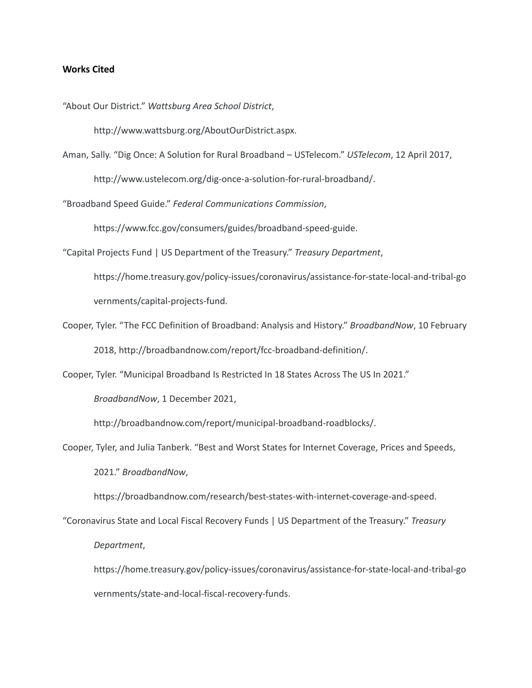### <span id="page-34-0"></span>**Works Cited**

"About Our District." *Wattsburg Area School District*,

http://www.wattsburg.org/AboutOurDistrict.aspx.

Aman, Sally. "Dig Once: A Solution for Rural Broadband – USTelecom." *USTelecom*, 12 April 2017, http://www.ustelecom.org/dig-once-a-solution-for-rural-broadband/.

"Broadband Speed Guide." *Federal Communications Commission*,

https://www.fcc.gov/consumers/guides/broadband-speed-guide.

"Capital Projects Fund | US Department of the Treasury." *Treasury Department*,

https://home.treasury.gov/policy-issues/coronavirus/assistance-for-state-local-and-tribal-go vernments/capital-projects-fund.

Cooper, Tyler. "The FCC Definition of Broadband: Analysis and History." *BroadbandNow*, 10 February 2018, http://broadbandnow.com/report/fcc-broadband-definition/.

Cooper, Tyler. "Municipal Broadband Is Restricted In 18 States Across The US In 2021."

*BroadbandNow*, 1 December 2021,

http://broadbandnow.com/report/municipal-broadband-roadblocks/.

Cooper, Tyler, and Julia Tanberk. "Best and Worst States for Internet Coverage, Prices and Speeds, 2021." *BroadbandNow*,

https://broadbandnow.com/research/best-states-with-internet-coverage-and-speed.

"Coronavirus State and Local Fiscal Recovery Funds | US Department of the Treasury." *Treasury*

*Department*,

https://home.treasury.gov/policy-issues/coronavirus/assistance-for-state-local-and-tribal-go vernments/state-and-local-fiscal-recovery-funds.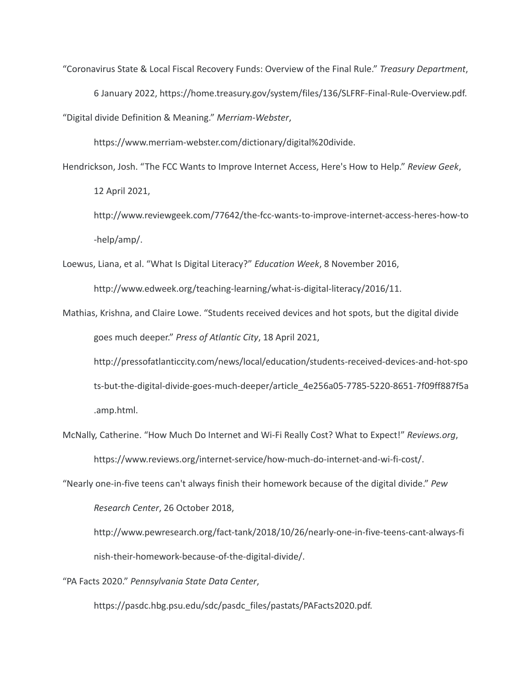"Coronavirus State & Local Fiscal Recovery Funds: Overview of the Final Rule." *Treasury Department*, 6 January 2022, https://home.treasury.gov/system/files/136/SLFRF-Final-Rule-Overview.pdf. "Digital divide Definition & Meaning." *Merriam-Webster*,

https://www.merriam-webster.com/dictionary/digital%20divide.

Hendrickson, Josh. "The FCC Wants to Improve Internet Access, Here's How to Help." *Review Geek*, 12 April 2021,

http://www.reviewgeek.com/77642/the-fcc-wants-to-improve-internet-access-heres-how-to -help/amp/.

Loewus, Liana, et al. "What Is Digital Literacy?" *Education Week*, 8 November 2016,

http://www.edweek.org/teaching-learning/what-is-digital-literacy/2016/11.

Mathias, Krishna, and Claire Lowe. "Students received devices and hot spots, but the digital divide goes much deeper." *Press of Atlantic City*, 18 April 2021,

http://pressofatlanticcity.com/news/local/education/students-received-devices-and-hot-spo ts-but-the-digital-divide-goes-much-deeper/article\_4e256a05-7785-5220-8651-7f09ff887f5a .amp.html.

McNally, Catherine. "How Much Do Internet and Wi-Fi Really Cost? What to Expect!" *Reviews.org*, https://www.reviews.org/internet-service/how-much-do-internet-and-wi-fi-cost/.

"Nearly one-in-five teens can't always finish their homework because of the digital divide." *Pew*

*Research Center*, 26 October 2018,

http://www.pewresearch.org/fact-tank/2018/10/26/nearly-one-in-five-teens-cant-always-fi nish-their-homework-because-of-the-digital-divide/.

"PA Facts 2020." *Pennsylvania State Data Center*,

https://pasdc.hbg.psu.edu/sdc/pasdc\_files/pastats/PAFacts2020.pdf.